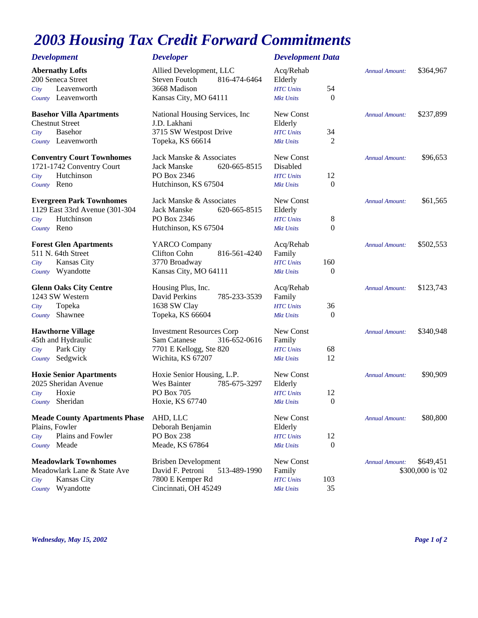## *2003 Housing Tax Credit Forward Commitments*

| <b>Development</b>                                                                                              | <b>Developer</b>                                                                                                 | <b>Development Data</b>                                                                |                       |                               |
|-----------------------------------------------------------------------------------------------------------------|------------------------------------------------------------------------------------------------------------------|----------------------------------------------------------------------------------------|-----------------------|-------------------------------|
| <b>Abernathy Lofts</b><br>200 Seneca Street<br>Leavenworth<br>City<br>County Leavenworth                        | Allied Development, LLC<br>Steven Foutch<br>816-474-6464<br>3668 Madison<br>Kansas City, MO 64111                | Acq/Rehab<br>Elderly<br>54<br><b>HTC</b> Units<br>$\boldsymbol{0}$<br><b>Mkt Units</b> | <b>Annual Amount:</b> | \$364,967                     |
| <b>Basehor Villa Apartments</b><br><b>Chestnut Street</b>                                                       | National Housing Services, Inc.<br>J.D. Lakhani                                                                  | New Const<br>Elderly                                                                   | <b>Annual Amount:</b> | \$237,899                     |
| <b>Basehor</b><br>City<br>County Leavenworth                                                                    | 3715 SW Westpost Drive<br>Topeka, KS 66614                                                                       | 34<br><b>HTC</b> Units<br>2<br><b>Mkt Units</b>                                        |                       |                               |
| <b>Conventry Court Townhomes</b><br>1721-1742 Conventry Court                                                   | Jack Manske & Associates<br>Jack Manske<br>620-665-8515                                                          | New Const<br>Disabled                                                                  | <b>Annual Amount:</b> | \$96,653                      |
| Hutchinson<br>City<br>County Reno                                                                               | PO Box 2346<br>Hutchinson, KS 67504                                                                              | 12<br><b>HTC</b> Units<br>$\theta$<br><b>Mkt Units</b>                                 |                       |                               |
| <b>Evergreen Park Townhomes</b><br>1129 East 33rd Avenue (301-304<br>Hutchinson<br>City<br>County Reno          | Jack Manske & Associates<br>Jack Manske<br>620-665-8515<br>PO Box 2346<br>Hutchinson, KS 67504                   | New Const<br>Elderly<br>8<br><b>HTC</b> Units<br>$\boldsymbol{0}$<br><b>Mkt Units</b>  | <b>Annual Amount:</b> | \$61,565                      |
| <b>Forest Glen Apartments</b><br>511 N. 64th Street<br><b>Kansas City</b><br>City<br>Wyandotte<br>County        | YARCO Company<br>Clifton Cohn<br>816-561-4240<br>3770 Broadway<br>Kansas City, MO 64111                          | Acq/Rehab<br>Family<br>160<br><b>HTC</b> Units<br>$\mathbf{0}$<br><b>Mkt Units</b>     | <b>Annual Amount:</b> | \$502,553                     |
| <b>Glenn Oaks City Centre</b><br>1243 SW Western<br>Topeka<br>City<br>Shawnee<br>County                         | Housing Plus, Inc.<br>David Perkins<br>785-233-3539<br>1638 SW Clay<br>Topeka, KS 66604                          | Acq/Rehab<br>Family<br>36<br><b>HTC</b> Units<br>$\theta$<br><b>Mkt Units</b>          | <b>Annual Amount:</b> | \$123,743                     |
| <b>Hawthorne Village</b><br>45th and Hydraulic<br>Park City<br>City<br>Sedgwick<br>County                       | <b>Investment Resources Corp</b><br>Sam Catanese<br>316-652-0616<br>7701 E Kellogg, Ste 820<br>Wichita, KS 67207 | New Const<br>Family<br>68<br><b>HTC</b> Units<br>12<br><b>Mkt Units</b>                | <b>Annual Amount:</b> | \$340,948                     |
| <b>Hoxie Senior Apartments</b><br>2025 Sheridan Avenue<br>Hoxie<br>City<br>County Sheridan                      | Hoxie Senior Housing, L.P.<br>Wes Bainter<br>785-675-3297<br>PO Box 705<br>Hoxie, KS 67740                       | New Const<br>Elderly<br>12<br><b>HTC</b> Units<br>$\boldsymbol{0}$<br>Mkt Units        | <b>Annual Amount:</b> | \$90,909                      |
| <b>Meade County Apartments Phase</b><br>Plains, Fowler<br>Plains and Fowler<br>City<br>Meade<br>County          | AHD, LLC<br>Deborah Benjamin<br><b>PO Box 238</b><br>Meade, KS 67864                                             | New Const<br>Elderly<br>12<br><b>HTC</b> Units<br>$\mathbf{0}$<br><b>Mkt Units</b>     | <b>Annual Amount:</b> | \$80,800                      |
| <b>Meadowlark Townhomes</b><br>Meadowlark Lane & State Ave<br><b>Kansas City</b><br>City<br>Wyandotte<br>County | <b>Brisben Development</b><br>David F. Petroni<br>513-489-1990<br>7800 E Kemper Rd<br>Cincinnati, OH 45249       | New Const<br>Family<br>103<br><b>HTC</b> Units<br>35<br><b>Mkt Units</b>               | <b>Annual Amount:</b> | \$649,451<br>\$300,000 is '02 |